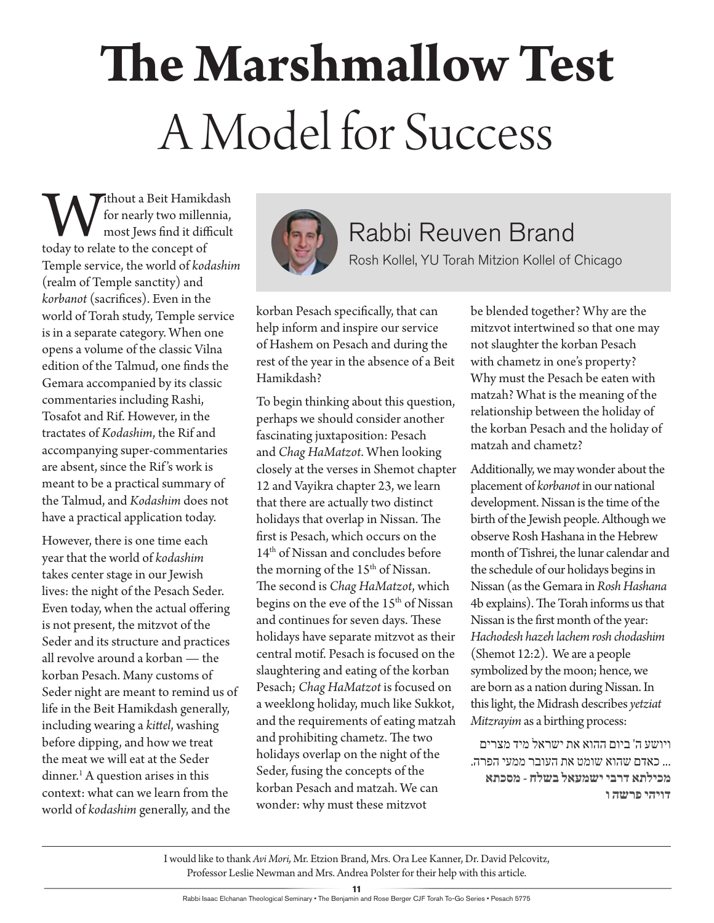# **The Marshmallow Test**  A Model for Success

**W** ithout a Beit Hamikdash<br>for nearly two millennia,<br>today to relate to the concept of for nearly two millennia, most Jews find it difficult Temple service, the world of *kodashim* (realm of Temple sanctity) and *korbanot* (sacrifices). Even in the world of Torah study, Temple service is in a separate category. When one opens a volume of the classic Vilna edition of the Talmud, one finds the Gemara accompanied by its classic commentaries including Rashi, Tosafot and Rif. However, in the tractates of *Kodashim*, the Rif and accompanying super-commentaries are absent, since the Rif 's work is meant to be a practical summary of the Talmud, and *Kodashim* does not have a practical application today.

However, there is one time each year that the world of *kodashim* takes center stage in our Jewish lives: the night of the Pesach Seder. Even today, when the actual offering is not present, the mitzvot of the Seder and its structure and practices all revolve around a korban — the korban Pesach. Many customs of Seder night are meant to remind us of life in the Beit Hamikdash generally, including wearing a *kittel*, washing before dipping, and how we treat the meat we will eat at the Seder dinner.<sup>1</sup> A question arises in this context: what can we learn from the world of *kodashim* generally, and the



### Rabbi Reuven Brand

Rosh Kollel, YU Torah Mitzion Kollel of Chicago

korban Pesach specifically, that can help inform and inspire our service of Hashem on Pesach and during the rest of the year in the absence of a Beit Hamikdash?

To begin thinking about this question, perhaps we should consider another fascinating juxtaposition: Pesach and *Chag HaMatzot*. When looking closely at the verses in Shemot chapter 12 and Vayikra chapter 23, we learn that there are actually two distinct holidays that overlap in Nissan. The first is Pesach, which occurs on the 14th of Nissan and concludes before the morning of the 15<sup>th</sup> of Nissan. The second is *Chag HaMatzot*, which begins on the eve of the 15<sup>th</sup> of Nissan and continues for seven days. These holidays have separate mitzvot as their central motif. Pesach is focused on the slaughtering and eating of the korban Pesach; *Chag HaMatzot* is focused on a weeklong holiday, much like Sukkot, and the requirements of eating matzah and prohibiting chametz. The two holidays overlap on the night of the Seder, fusing the concepts of the korban Pesach and matzah. We can wonder: why must these mitzvot

be blended together? Why are the mitzvot intertwined so that one may not slaughter the korban Pesach with chametz in one's property? Why must the Pesach be eaten with matzah? What is the meaning of the relationship between the holiday of the korban Pesach and the holiday of matzah and chametz?

Additionally, we may wonder about the placement of *korbanot* in our national development. Nissan is the time of the birth of the Jewish people. Although we observe Rosh Hashana in the Hebrew month of Tishrei, the lunar calendar and the schedule of our holidays begins in Nissan (as the Gemara in *Rosh Hashana* 4b explains). The Torah informs us that Nissan is the first month of the year: *Hachodesh hazeh lachem rosh chodashim* (Shemot 12:2). We are a people symbolized by the moon; hence, we are born as a nation during Nissan. In this light, the Midrash describes *yetziat Mitzrayim* as a birthing process:

ויושע ה' ביום ההוא את ישראל מיד מצרים ... כאדם שהוא שומט את העובר ממעי הפרה. **מכילתא דרבי ישמעאל בשלח - מסכתא דויהי פרשה ו**

I would like to thank *Avi Mori,* Mr. Etzion Brand, Mrs. Ora Lee Kanner, Dr. David Pelcovitz, Professor Leslie Newman and Mrs. Andrea Polster for their help with this article.

**11**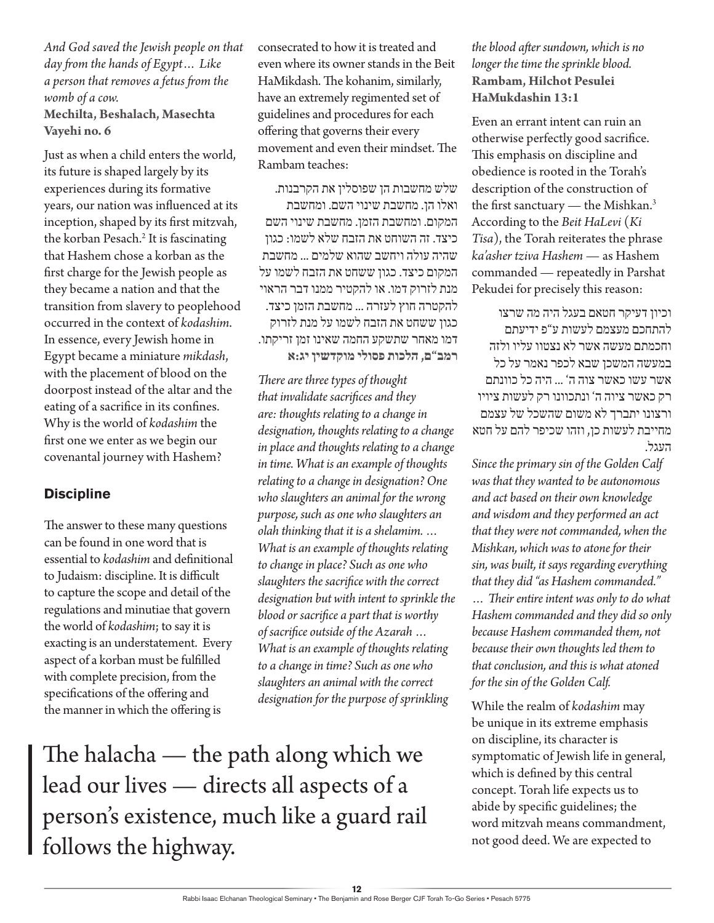*And God saved the Jewish people on that day from the hands of Egypt… Like a person that removes a fetus from the womb of a cow.* **Mechilta, Beshalach, Masechta Vayehi no. 6**

Just as when a child enters the world, its future is shaped largely by its experiences during its formative years, our nation was influenced at its inception, shaped by its first mitzvah, the korban Pesach.<sup>2</sup> It is fascinating that Hashem chose a korban as the first charge for the Jewish people as they became a nation and that the transition from slavery to peoplehood occurred in the context of *kodashim*. In essence, every Jewish home in Egypt became a miniature *mikdash*, with the placement of blood on the doorpost instead of the altar and the eating of a sacrifice in its confines. Why is the world of *kodashim* the first one we enter as we begin our covenantal journey with Hashem?

#### **Discipline**

The answer to these many questions can be found in one word that is essential to *kodashim* and definitional to Judaism: discipline. It is difficult to capture the scope and detail of the regulations and minutiae that govern the world of *kodashim*; to say it is exacting is an understatement. Every aspect of a korban must be fulfilled with complete precision, from the specifications of the offering and the manner in which the offering is

consecrated to how it is treated and even where its owner stands in the Beit HaMikdash. The kohanim, similarly, have an extremely regimented set of guidelines and procedures for each offering that governs their every movement and even their mindset. The Rambam teaches:

שלש מחשבות הן שפוסלין את הקרבנות. ואלו הן. מחשבת שינוי השם. ומחשבת המקום. ומחשבת הזמן. מחשבת שינוי השם כיצד. זה השוחט את הזבח שלא לשמו: כגון שהיה עולה ויחשב שהוא שלמים ... מחשבת המקום כיצד. כגון ששחט את הזבח לשמו על מנת לזרוק דמו. או להקטיר ממנו דבר הראוי להקטרה חוץ לעזרה ... מחשבת הזמן כיצד. כגון ששחט את הזבח לשמו על מנת לזרוק דמו מאחר שתשקע החמה שאינו זמן זריקתו. **רמב"ם, הלכות פסולי מוקדשין יג:א**

*There are three types of thought that invalidate sacrifices and they are: thoughts relating to a change in designation, thoughts relating to a change in place and thoughts relating to a change in time. What is an example of thoughts relating to a change in designation? One who slaughters an animal for the wrong purpose, such as one who slaughters an olah thinking that it is a shelamim. … What is an example of thoughts relating to change in place? Such as one who slaughters the sacrifice with the correct designation but with intent to sprinkle the blood or sacrifice a part that is worthy of sacrifice outside of the Azarah … What is an example of thoughts relating to a change in time? Such as one who slaughters an animal with the correct designation for the purpose of sprinkling* 

The halacha — the path along which we lead our lives — directs all aspects of a person's existence, much like a guard rail follows the highway.

*the blood after sundown, which is no longer the time the sprinkle blood.* **Rambam, Hilchot Pesulei HaMukdashin 13:1**

Even an errant intent can ruin an otherwise perfectly good sacrifice. This emphasis on discipline and obedience is rooted in the Torah's description of the construction of the first sanctuary — the Mishkan.<sup>3</sup> According to the *Beit HaLevi* (*Ki Tisa*), the Torah reiterates the phrase *ka'asher tziva Hashem* — as Hashem commanded — repeatedly in Parshat Pekudei for precisely this reason:

וכיון דעיקר חטאם בעגל היה מה שרצו להתחכם מעצמם לעשות ע"פ ידיעתם וחכמתם מעשה אשר לא נצטוו עליו ולזה במעשה המשכן שבא לכפר נאמר על כל אשר עשו כאשר צוה ה' ... היה כל כוונתם רק כאשר ציוה ה' ונתכוונו רק לעשות ציויו ורצונו יתברך לא משום שהשכל של עצמם מחייבת לעשות כן, וזהו שכיפר להם על חטא העגל.

*Since the primary sin of the Golden Calf was that they wanted to be autonomous and act based on their own knowledge and wisdom and they performed an act that they were not commanded, when the Mishkan, which was to atone for their sin, was built, it says regarding everything that they did "as Hashem commanded." … Their entire intent was only to do what Hashem commanded and they did so only because Hashem commanded them, not because their own thoughts led them to that conclusion, and this is what atoned for the sin of the Golden Calf.*

While the realm of *kodashim* may be unique in its extreme emphasis on discipline, its character is symptomatic of Jewish life in general, which is defined by this central concept. Torah life expects us to abide by specific guidelines; the word mitzvah means commandment, not good deed. We are expected to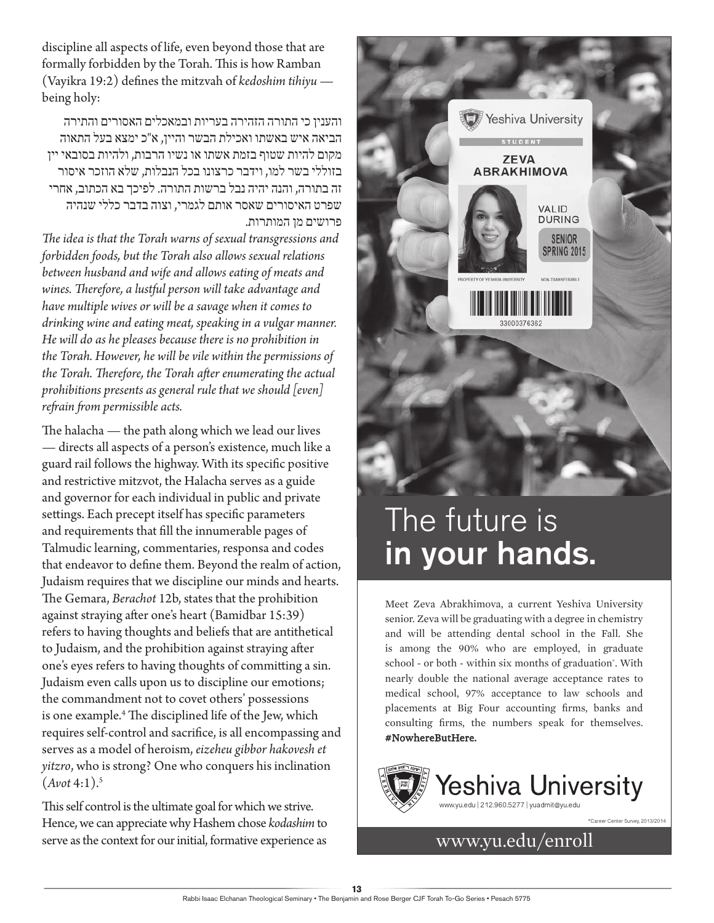discipline all aspects of life, even beyond those that are formally forbidden by the Torah. This is how Ramban (Vayikra 19:2) defines the mitzvah of *kedoshim tihiyu* being holy:

והענין כי התורה הזהירה בעריות ובמאכלים האסורים והתירה הביאה איש באשתו ואכילת הבשר והיין, א"כ ימצא בעל התאוה מקום להיות שטוף בזמת אשתו או נשיו הרבות, ולהיות בסובאי יין בזוללי בשר למו, וידבר כרצונו בכל הנבלות, שלא הוזכר איסור זה בתורה, והנה יהיה נבל ברשות התורה. לפיכך בא הכתוב, אחרי שפרט האיסורים שאסר אותם לגמרי, וצוה בדבר כללי שנהיה פרושים מן המותרות.

*The idea is that the Torah warns of sexual transgressions and forbidden foods, but the Torah also allows sexual relations between husband and wife and allows eating of meats and wines. Therefore, a lustful person will take advantage and have multiple wives or will be a savage when it comes to drinking wine and eating meat, speaking in a vulgar manner. He will do as he pleases because there is no prohibition in the Torah. However, he will be vile within the permissions of the Torah. Therefore, the Torah after enumerating the actual prohibitions presents as general rule that we should [even] refrain from permissible acts.*

The halacha — the path along which we lead our lives — directs all aspects of a person's existence, much like a guard rail follows the highway. With its specific positive and restrictive mitzvot, the Halacha serves as a guide and governor for each individual in public and private settings. Each precept itself has specific parameters and requirements that fill the innumerable pages of Talmudic learning, commentaries, responsa and codes that endeavor to define them. Beyond the realm of action, Judaism requires that we discipline our minds and hearts. The Gemara, *Berachot* 12b, states that the prohibition against straying after one's heart (Bamidbar 15:39) refers to having thoughts and beliefs that are antithetical to Judaism, and the prohibition against straying after one's eyes refers to having thoughts of committing a sin. Judaism even calls upon us to discipline our emotions; the commandment not to covet others' possessions is one example.4 The disciplined life of the Jew, which requires self-control and sacrifice, is all encompassing and serves as a model of heroism, *eizeheu gibbor hakovesh et yitzro*, who is strong? One who conquers his inclination  $(A$ *vot* 4:1).<sup>5</sup>

This self control is the ultimate goal for which we strive. Hence, we can appreciate why Hashem chose *kodashim* to serve as the context for our initial, formative experience as www.yu.edu/enroll



## The future is in your hands.

Meet Zeva Abrakhimova, a current Yeshiva University senior. Zeva will be graduating with a degree in chemistry and will be attending dental school in the Fall. She is among the 90% who are employed, in graduate school - or both - within six months of graduation\* . With nearly double the national average acceptance rates to medical school, 97% acceptance to law schools and placements at Big Four accounting firms, banks and consulting firms, the numbers speak for themselves. #NowhereButHere.



\*Career Center Survey, 2013/2014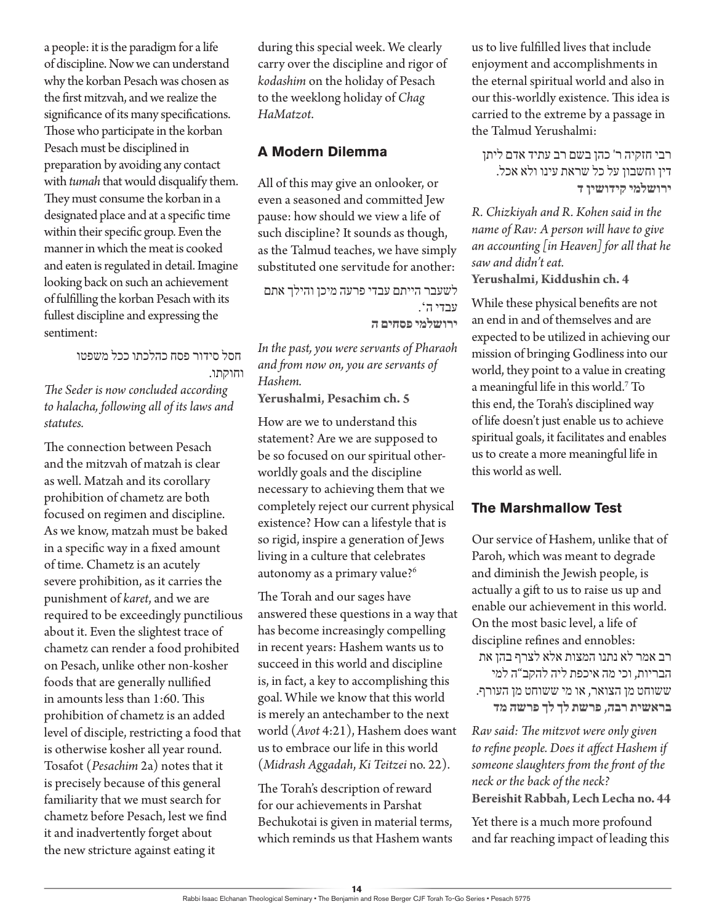a people: it is the paradigm for a life of discipline. Now we can understand why the korban Pesach was chosen as the first mitzvah, and we realize the significance of its many specifications. Those who participate in the korban Pesach must be disciplined in preparation by avoiding any contact with *tumah* that would disqualify them. They must consume the korban in a designated place and at a specific time within their specific group. Even the manner in which the meat is cooked and eaten is regulated in detail. Imagine looking back on such an achievement of fulfilling the korban Pesach with its fullest discipline and expressing the sentiment:

חסל סידור פסח כהלכתו ככל משפטו וחוקתו. *The Seder is now concluded according to halacha, following all of its laws and* 

*statutes.*

The connection between Pesach and the mitzvah of matzah is clear as well. Matzah and its corollary prohibition of chametz are both focused on regimen and discipline. As we know, matzah must be baked in a specific way in a fixed amount of time. Chametz is an acutely severe prohibition, as it carries the punishment of *karet*, and we are required to be exceedingly punctilious about it. Even the slightest trace of chametz can render a food prohibited on Pesach, unlike other non-kosher foods that are generally nullified in amounts less than 1:60. This prohibition of chametz is an added level of disciple, restricting a food that is otherwise kosher all year round. Tosafot (*Pesachim* 2a) notes that it is precisely because of this general familiarity that we must search for chametz before Pesach, lest we find it and inadvertently forget about the new stricture against eating it

during this special week. We clearly carry over the discipline and rigor of *kodashim* on the holiday of Pesach to the weeklong holiday of *Chag HaMatzot*.

#### **A Modern Dilemma**

All of this may give an onlooker, or even a seasoned and committed Jew pause: how should we view a life of such discipline? It sounds as though, as the Talmud teaches, we have simply substituted one servitude for another:

לשעבר הייתם עבדי פרעה מיכן והילך אתם עבדי ה'. **ירושלמי פסחים ה**

*In the past, you were servants of Pharaoh and from now on, you are servants of Hashem.* **Yerushalmi, Pesachim ch. 5**

How are we to understand this statement? Are we are supposed to be so focused on our spiritual otherworldly goals and the discipline necessary to achieving them that we completely reject our current physical existence? How can a lifestyle that is so rigid, inspire a generation of Jews living in a culture that celebrates autonomy as a primary value?6

The Torah and our sages have answered these questions in a way that has become increasingly compelling in recent years: Hashem wants us to succeed in this world and discipline is, in fact, a key to accomplishing this goal. While we know that this world is merely an antechamber to the next world (*Avot* 4:21), Hashem does want us to embrace our life in this world (*Midrash Aggadah*, *Ki Teitzei* no. 22).

The Torah's description of reward for our achievements in Parshat Bechukotai is given in material terms, which reminds us that Hashem wants us to live fulfilled lives that include enjoyment and accomplishments in the eternal spiritual world and also in our this-worldly existence. This idea is carried to the extreme by a passage in the Talmud Yerushalmi:

רבי חזקיה ר' כהן בשם רב עתיד אדם ליתן דין וחשבון על כל שראת עינו ולא אכל. **ירושלמי קידושין ד**

*R. Chizkiyah and R. Kohen said in the name of Rav: A person will have to give an accounting [in Heaven] for all that he saw and didn't eat.* **Yerushalmi, Kiddushin ch. 4**

While these physical benefits are not an end in and of themselves and are expected to be utilized in achieving our mission of bringing Godliness into our world, they point to a value in creating a meaningful life in this world.7 To this end, the Torah's disciplined way of life doesn't just enable us to achieve spiritual goals, it facilitates and enables us to create a more meaningful life in this world as well.

#### **The Marshmallow Test**

Our service of Hashem, unlike that of Paroh, which was meant to degrade and diminish the Jewish people, is actually a gift to us to raise us up and enable our achievement in this world. On the most basic level, a life of discipline refines and ennobles: רב אמר לא נתנו המצות אלא לצרף בהן את

הבריות, וכי מה איכפת ליה להקב"ה למי ששוחט מן הצואר, או מי ששוחט מן העורף. **בראשית רבה, פרשת לך לך פרשה מד**

*Rav said: The mitzvot were only given to refine people. Does it affect Hashem if someone slaughters from the front of the neck or the back of the neck?*  **Bereishit Rabbah, Lech Lecha no. 44**

Yet there is a much more profound and far reaching impact of leading this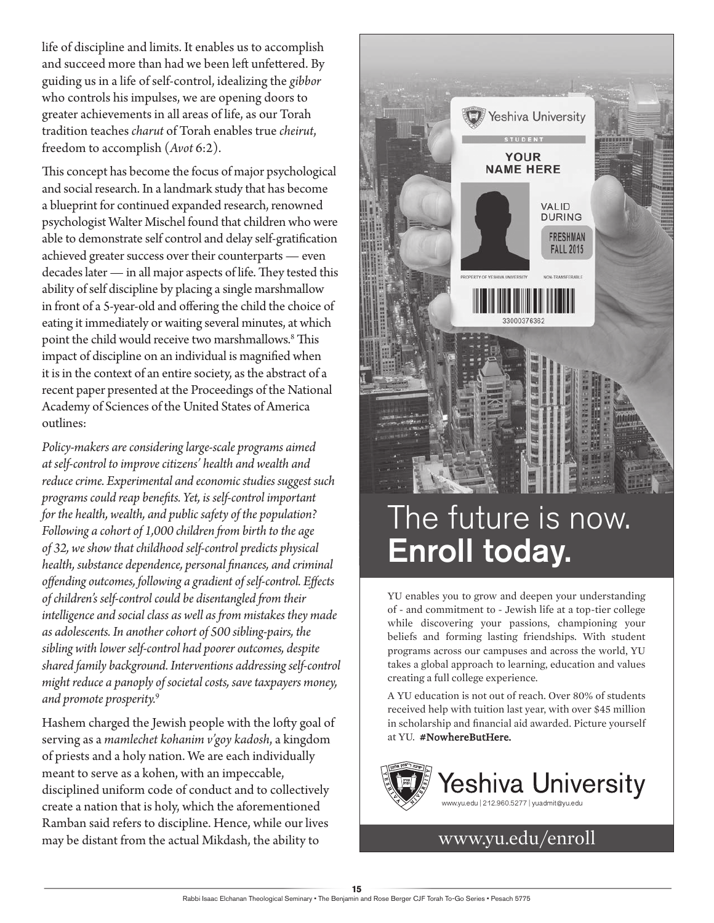life of discipline and limits. It enables us to accomplish and succeed more than had we been left unfettered. By guiding us in a life of self-control, idealizing the *gibbor* who controls his impulses, we are opening doors to greater achievements in all areas of life, as our Torah tradition teaches *charut* of Torah enables true *cheirut*, freedom to accomplish (*Avot* 6:2).

This concept has become the focus of major psychological and social research. In a landmark study that has become a blueprint for continued expanded research, renowned psychologist Walter Mischel found that children who were able to demonstrate self control and delay self-gratification achieved greater success over their counterparts — even decades later — in all major aspects of life. They tested this ability of self discipline by placing a single marshmallow in front of a 5-year-old and offering the child the choice of eating it immediately or waiting several minutes, at which point the child would receive two marshmallows.8 This impact of discipline on an individual is magnified when it is in the context of an entire society, as the abstract of a recent paper presented at the Proceedings of the National Academy of Sciences of the United States of America outlines:

*Policy-makers are considering large-scale programs aimed at self-control to improve citizens' health and wealth and reduce crime. Experimental and economic studies suggest such programs could reap benefits. Yet, is self-control important for the health, wealth, and public safety of the population? Following a cohort of 1,000 children from birth to the age of 32, we show that childhood self-control predicts physical health, substance dependence, personal finances, and criminal offending outcomes, following a gradient of self-control. Effects of children's self-control could be disentangled from their intelligence and social class as well as from mistakes they made as adolescents. In another cohort of 500 sibling-pairs, the sibling with lower self-control had poorer outcomes, despite shared family background. Interventions addressing self-control might reduce a panoply of societal costs, save taxpayers money, and promote prosperity.*<sup>9</sup>

Hashem charged the Jewish people with the lofty goal of serving as a *mamlechet kohanim v'goy kadosh*, a kingdom of priests and a holy nation. We are each individually meant to serve as a kohen, with an impeccable, disciplined uniform code of conduct and to collectively create a nation that is holy, which the aforementioned Ramban said refers to discipline. Hence, while our lives may be distant from the actual Mikdash, the ability to www.yu.edu/enroll



## The future is now. Enroll today.

YU enables you to grow and deepen your understanding of - and commitment to - Jewish life at a top-tier college while discovering your passions, championing your beliefs and forming lasting friendships. With student programs across our campuses and across the world, YU takes a global approach to learning, education and values creating a full college experience.

A YU education is not out of reach. Over 80% of students received help with tuition last year, with over \$45 million in scholarship and financial aid awarded. Picture yourself at YU. #NowhereButHere.